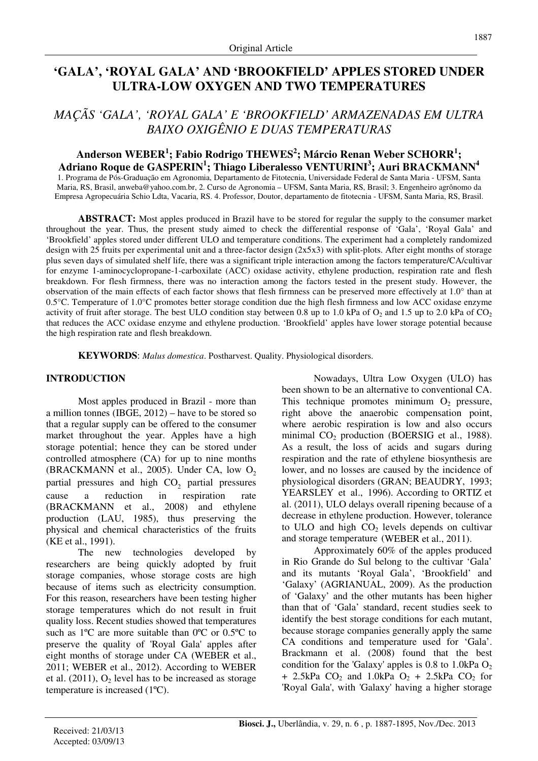# **'GALA', 'ROYAL GALA' AND 'BROOKFIELD' APPLES STORED UNDER ULTRA-LOW OXYGEN AND TWO TEMPERATURES**

## *MAÇÃS 'GALA', 'ROYAL GALA' E 'BROOKFIELD' ARMAZENADAS EM ULTRA BAIXO OXIGÊNIO E DUAS TEMPERATURAS*

### **Anderson WEBER<sup>1</sup> ; Fabio Rodrigo THEWES<sup>2</sup> ; Márcio Renan Weber SCHORR<sup>1</sup> ; Adriano Roque de GASPERIN<sup>1</sup> ; Thiago Liberalesso VENTURINI<sup>3</sup> ; Auri BRACKMANN<sup>4</sup>**

1. Programa de Pós-Graduação em Agronomia, Departamento de Fitotecnia, Universidade Federal de Santa Maria - UFSM, Santa Maria, RS, Brasil, anweba@yahoo.com.br, 2. Curso de Agronomia – UFSM, Santa Maria, RS, Brasil; 3. Engenheiro agrônomo da Empresa Agropecuária Schio Ldta, Vacaria, RS. 4. Professor, Doutor, departamento de fitotecnia - UFSM, Santa Maria, RS, Brasil.

**ABSTRACT:** Most apples produced in Brazil have to be stored for regular the supply to the consumer market throughout the year. Thus, the present study aimed to check the differential response of 'Gala', 'Royal Gala' and 'Brookfield' apples stored under different ULO and temperature conditions. The experiment had a completely randomized design with 25 fruits per experimental unit and a three-factor design (2x5x3) with split-plots. After eight months of storage plus seven days of simulated shelf life, there was a significant triple interaction among the factors temperature/CA/cultivar for enzyme 1-aminocyclopropane-1-carboxilate (ACC) oxidase activity, ethylene production, respiration rate and flesh breakdown. For flesh firmness, there was no interaction among the factors tested in the present study. However, the observation of the main effects of each factor shows that flesh firmness can be preserved more effectively at 1.0° than at 0.5 $^{\circ}$ C. Temperature of 1.0 $^{\circ}$ C promotes better storage condition due the high flesh firmness and low ACC oxidase enzyme activity of fruit after storage. The best ULO condition stay between 0.8 up to 1.0 kPa of  $O_2$  and 1.5 up to 2.0 kPa of  $CO_2$ that reduces the ACC oxidase enzyme and ethylene production. 'Brookfield' apples have lower storage potential because the high respiration rate and flesh breakdown.

**KEYWORDS**: *Malus domestica*. Postharvest. Quality. Physiological disorders.

#### **INTRODUCTION**

Most apples produced in Brazil - more than a million tonnes (IBGE, 2012) – have to be stored so that a regular supply can be offered to the consumer market throughout the year. Apples have a high storage potential; hence they can be stored under controlled atmosphere (CA) for up to nine months (BRACKMANN et al., 2005). Under CA, low  $O<sub>2</sub>$ partial pressures and high  $CO<sub>2</sub>$  partial pressures cause a reduction in respiration rate (BRACKMANN et al., 2008) and ethylene production (LAU, 1985), thus preserving the physical and chemical characteristics of the fruits (KE et al., 1991).

The new technologies developed by researchers are being quickly adopted by fruit storage companies, whose storage costs are high because of items such as electricity consumption. For this reason, researchers have been testing higher storage temperatures which do not result in fruit quality loss. Recent studies showed that temperatures such as  $1^{\circ}$ C are more suitable than  $0^{\circ}$ C or  $0.5^{\circ}$ C to preserve the quality of 'Royal Gala' apples after eight months of storage under CA (WEBER et al., 2011; WEBER et al., 2012). According to WEBER et al.  $(2011)$ ,  $O<sub>2</sub>$  level has to be increased as storage temperature is increased (1ºC).

Nowadays, Ultra Low Oxygen (ULO) has been shown to be an alternative to conventional CA. This technique promotes minimum  $O_2$  pressure, right above the anaerobic compensation point, where aerobic respiration is low and also occurs minimal  $CO<sub>2</sub>$  production (BOERSIG et al., 1988). As a result, the loss of acids and sugars during respiration and the rate of ethylene biosynthesis are lower, and no losses are caused by the incidence of physiological disorders (GRAN; BEAUDRY, 1993; YEARSLEY et al., 1996). According to ORTIZ et al. (2011), ULO delays overall ripening because of a decrease in ethylene production. However, tolerance to ULO and high  $CO<sub>2</sub>$  levels depends on cultivar and storage temperature (WEBER et al., 2011).

Approximately 60% of the apples produced in Rio Grande do Sul belong to the cultivar 'Gala' and its mutants 'Royal Gala', 'Brookfield' and 'Galaxy' (AGRIANUAL, 2009). As the production of 'Galaxy' and the other mutants has been higher than that of 'Gala' standard, recent studies seek to identify the best storage conditions for each mutant, because storage companies generally apply the same CA conditions and temperature used for 'Gala'. Brackmann et al. (2008) found that the best condition for the 'Galaxy' apples is  $0.8$  to  $1.0$ kPa  $O<sub>2</sub>$ + 2.5kPa  $CO<sub>2</sub>$  and 1.0kPa  $O<sub>2</sub>$  + 2.5kPa  $CO<sub>2</sub>$  for 'Royal Gala', with 'Galaxy' having a higher storage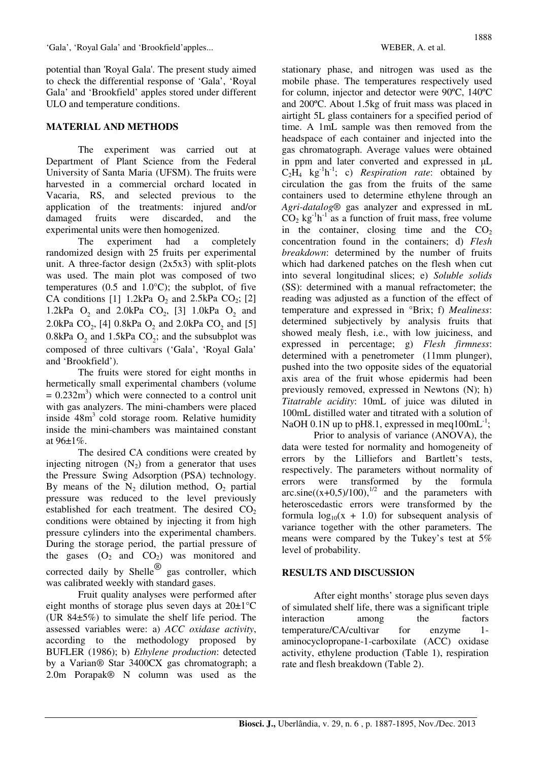potential than 'Royal Gala'. The present study aimed to check the differential response of 'Gala', 'Royal Gala' and 'Brookfield' apples stored under different ULO and temperature conditions.

#### **MATERIAL AND METHODS**

The experiment was carried out at Department of Plant Science from the Federal University of Santa Maria (UFSM). The fruits were harvested in a commercial orchard located in Vacaria, RS, and selected previous to the application of the treatments: injured and/or damaged fruits were discarded, and the experimental units were then homogenized.

The experiment had a completely randomized design with 25 fruits per experimental unit. A three-factor design (2x5x3) with split-plots was used. The main plot was composed of two temperatures  $(0.5 \text{ and } 1.0^{\circ}\text{C})$ ; the subplot, of five CA conditions [1] 1.2kPa  $O_2$  and 2.5kPa  $CO_2$ ; [2] 1.2kPa  $O_2$  and 2.0kPa  $CO_2$ , [3] 1.0kPa  $O_2$  and 2.0kPa  $CO_2$ , [4] 0.8kPa  $O_2$  and 2.0kPa  $CO_2$  and [5] 0.8kPa  $O_2$  and 1.5kPa  $CO_2$ ; and the subsubplot was composed of three cultivars ('Gala', 'Royal Gala' and 'Brookfield').

The fruits were stored for eight months in hermetically small experimental chambers (volume  $= 0.232 \text{m}^3$ ) which were connected to a control unit with gas analyzers. The mini-chambers were placed inside 48m<sup>3</sup> cold storage room. Relative humidity inside the mini-chambers was maintained constant at 96±1%.

The desired CA conditions were created by injecting nitrogen  $(N_2)$  from a generator that uses the Pressure Swing Adsorption (PSA) technology. By means of the  $N_2$  dilution method,  $O_2$  partial pressure was reduced to the level previously established for each treatment. The desired  $CO<sub>2</sub>$ conditions were obtained by injecting it from high pressure cylinders into the experimental chambers. During the storage period, the partial pressure of the gases  $(O_2 \text{ and } CO_2)$  was monitored and corrected daily by Shelle<sup>®</sup> gas controller, which was calibrated weekly with standard gases.

Fruit quality analyses were performed after eight months of storage plus seven days at  $20\pm1^{\circ}C$ (UR 84±5%) to simulate the shelf life period. The assessed variables were: a) *ACC oxidase activity*, according to the methodology proposed by BUFLER (1986); b) *Ethylene production*: detected by a Varian® Star 3400CX gas chromatograph; a 2.0m Porapak® N column was used as the

stationary phase, and nitrogen was used as the mobile phase. The temperatures respectively used for column, injector and detector were 90ºC, 140ºC and 200ºC. About 1.5kg of fruit mass was placed in airtight 5L glass containers for a specified period of time. A 1mL sample was then removed from the headspace of each container and injected into the gas chromatograph. Average values were obtained in ppm and later converted and expressed in µL  $C_2\overline{H}_4$  kg<sup>-1</sup>h<sup>-1</sup>; c) *Respiration rate*: obtained by circulation the gas from the fruits of the same containers used to determine ethylene through an *Agri-datalog*® gas analyzer and expressed in mL  $CO<sub>2</sub>$  kg<sup>-1</sup>h<sup>-1</sup> as a function of fruit mass, free volume in the container, closing time and the  $CO<sub>2</sub>$ concentration found in the containers; d) *Flesh breakdown*: determined by the number of fruits which had darkened patches on the flesh when cut into several longitudinal slices; e) *Soluble solids* (SS): determined with a manual refractometer; the reading was adjusted as a function of the effect of temperature and expressed in °Brix; f) *Mealiness*: determined subjectively by analysis fruits that showed mealy flesh, i.e., with low juiciness, and expressed in percentage; g) *Flesh firmness*: determined with a penetrometer (11mm plunger), pushed into the two opposite sides of the equatorial axis area of the fruit whose epidermis had been previously removed, expressed in Newtons (N); h) *Titatrable acidity*: 10mL of juice was diluted in 100mL distilled water and titrated with a solution of NaOH 0.1N up to pH8.1, expressed in meq $100 \text{mL}^{-1}$ ;

Prior to analysis of variance (ANOVA), the data were tested for normality and homogeneity of errors by the Lilliefors and Bartlett's tests, respectively. The parameters without normality of errors were transformed by the formula arc.sine( $(x+0,5)/100$ ),<sup>1/2</sup> and the parameters with heteroscedastic errors were transformed by the formula  $log_{10}(x + 1.0)$  for subsequent analysis of variance together with the other parameters. The means were compared by the Tukey's test at 5% level of probability.

### **RESULTS AND DISCUSSION**

After eight months' storage plus seven days of simulated shelf life, there was a significant triple interaction among the factors temperature/CA/cultivar for enzyme 1 aminocyclopropane-1-carboxilate (ACC) oxidase activity, ethylene production (Table 1), respiration rate and flesh breakdown (Table 2).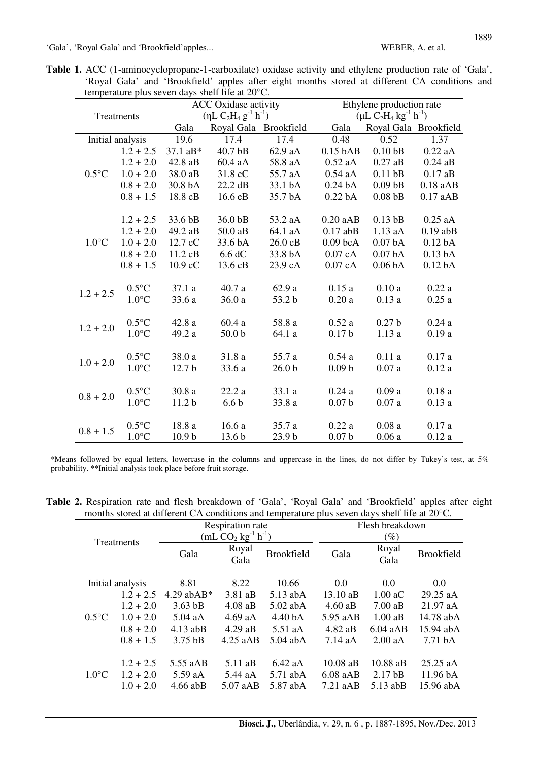|  |  | Table 1. ACC (1-aminocyclopropane-1-carboxilate) oxidase activity and ethylene production rate of 'Gala', |  |  |  |  |  |
|--|--|-----------------------------------------------------------------------------------------------------------|--|--|--|--|--|
|  |  | 'Royal Gala' and 'Brookfield' apples after eight months stored at different CA conditions and             |  |  |  |  |  |
|  |  | temperature plus seven days shelf life at $20^{\circ}$ C.                                                 |  |  |  |  |  |

|                 |                         |                     | <b>ACC</b> Oxidase activity     |                   |                    | Ethylene production rate        |                    |  |  |  |
|-----------------|-------------------------|---------------------|---------------------------------|-------------------|--------------------|---------------------------------|--------------------|--|--|--|
|                 | Treatments              |                     | $(\eta L C_2H_4 g^{-1} h^{-1})$ |                   |                    | $(\mu L C_2H_4 kg^{-1} h^{-1})$ |                    |  |  |  |
|                 |                         | Gala                | Royal Gala                      | Brookfield        | Gala               | Royal Gala Brookfield           |                    |  |  |  |
|                 | Initial analysis        | 19.6                | 17.4                            | 17.4              | 0.48               | 0.52                            | 1.37               |  |  |  |
|                 | $1.2 + 2.5$             | $37.1 \text{ a}B^*$ | 40.7 <sub>b</sub> B             | 62.9 aA           | $0.15$ bAB         | 0.10 <sub>bB</sub>              | $0.22$ aA          |  |  |  |
|                 | $1.2 + 2.0$             | 42.8 aB             | 60.4 aA                         | 58.8 aA           | $0.52$ aA          | $0.27$ aB                       | $0.24$ aB          |  |  |  |
| $0.5^{\circ}$ C | $1.0 + 2.0$             | 38.0 aB             | 31.8 cC                         | 55.7 aA           | $0.54$ aA          | $0.11$ bB                       | $0.17$ aB          |  |  |  |
|                 | $0.8 + 2.0$             | 30.8 bA             | 22.2 dB                         | 33.1 bA           | 0.24 <sub>bA</sub> | $0.09$ bB                       | $0.18$ aAB         |  |  |  |
|                 | $0.8 + 1.5$             | 18.8 cB             | 16.6 eB                         | 35.7 bA           | 0.22 <sub>bA</sub> | 0.08 <sub>bB</sub>              | 0.17aAB            |  |  |  |
|                 |                         |                     |                                 |                   |                    |                                 |                    |  |  |  |
|                 | $1.2 + 2.5$             | 33.6 bB             | 36.0 bB                         | 53.2 aA           | 0.20aAB            | $0.13$ bB                       | $0.25$ aA          |  |  |  |
|                 | $1.2 + 2.0$             | 49.2 aB             | 50.0 aB                         | 64.1 aA           | $0.17$ abB         | $1.13$ aA                       | $0.19$ abB         |  |  |  |
| $1.0^{\circ}$ C | $1.0 + 2.0$             | 12.7 cC             | 33.6 bA                         | 26.0 cB           | $0.09$ bcA         | 0.07 <sub>bA</sub>              | 0.12 <sub>bA</sub> |  |  |  |
|                 | $0.8 + 2.0$             | 11.2 cB             | 6.6 dC                          | 33.8 bA           | 0.07cA             | 0.07 <sub>bA</sub>              | 0.13 <sub>bA</sub> |  |  |  |
|                 | $0.8 + 1.5$             | 10.9 cC             | 13.6 cB                         | 23.9 cA           | 0.07cA             | 0.06 <sub>bA</sub>              | 0.12 <sub>bA</sub> |  |  |  |
|                 |                         |                     |                                 |                   |                    |                                 |                    |  |  |  |
| $1.2 + 2.5$     | $0.5^{\circ}$ C         | 37.1a               | 40.7 a                          | 62.9 a            | 0.15a              | 0.10a                           | 0.22a              |  |  |  |
|                 | $1.0^{\circ}$ C         | 33.6 a              | 36.0a                           | 53.2 b            | 0.20a              | 0.13a                           | 0.25a              |  |  |  |
|                 | $0.5^{\circ}$ C         | 42.8 a              | 60.4a                           | 58.8 a            | 0.52a              | 0.27 <sub>b</sub>               | 0.24a              |  |  |  |
| $1.2 + 2.0$     | $1.0^{\circ}\mathrm{C}$ | 49.2 a              | 50.0 <sub>b</sub>               | 64.1 a            | 0.17 <sub>b</sub>  | 1.13a                           | 0.19a              |  |  |  |
|                 |                         |                     |                                 |                   |                    |                                 |                    |  |  |  |
| $1.0 + 2.0$     | $0.5^{\circ}$ C         | 38.0 a              | 31.8 a                          | 55.7 a            | 0.54a              | 0.11a                           | 0.17a              |  |  |  |
|                 | $1.0^{\circ}$ C         | 12.7 <sub>b</sub>   | 33.6 a                          | 26.0 <sub>b</sub> | 0.09 <sub>b</sub>  | 0.07a                           | 0.12a              |  |  |  |
|                 |                         |                     |                                 |                   |                    |                                 |                    |  |  |  |
| $0.8 + 2.0$     | $0.5^{\circ}$ C         | 30.8 a              | 22.2a                           | 33.1 a            | 0.24a              | 0.09a                           | 0.18a              |  |  |  |
|                 | $1.0^{\circ}$ C         | 11.2 <sub>b</sub>   | 6.6 <sub>b</sub>                | 33.8 a            | 0.07 <sub>b</sub>  | 0.07a                           | 0.13a              |  |  |  |
|                 |                         |                     |                                 |                   |                    |                                 |                    |  |  |  |
| $0.8 + 1.5$     | $0.5^{\circ}$ C         | 18.8 a              | 16.6a                           | 35.7 a            | 0.22a              | 0.08a                           | 0.17a              |  |  |  |
|                 | $1.0^{\circ}$ C         | 10.9 <sub>b</sub>   | 13.6 <sub>b</sub>               | 23.9 b            | 0.07 <sub>b</sub>  | 0.06a                           | 0.12a              |  |  |  |

\*Means followed by equal letters, lowercase in the columns and uppercase in the lines, do not differ by Tukey's test, at 5% probability. \*\*Initial analysis took place before fruit storage.

|  |  |  |  |  |  | Table 2. Respiration rate and flesh breakdown of 'Gala', 'Royal Gala' and 'Brookfield' apples after eight |  |  |
|--|--|--|--|--|--|-----------------------------------------------------------------------------------------------------------|--|--|
|  |  |  |  |  |  | months stored at different CA conditions and temperature plus seven days shelf life at $20^{\circ}$ C.    |  |  |

| <b>Treatments</b><br>Initial analysis |                            |                     | Respiration rate<br>(mL $CO_2$ kg <sup>-1</sup> h <sup>-1</sup> ) |                         | Flesh breakdown<br>$(\%)$ |                       |                                 |  |  |
|---------------------------------------|----------------------------|---------------------|-------------------------------------------------------------------|-------------------------|---------------------------|-----------------------|---------------------------------|--|--|
|                                       |                            | Gala                | Royal<br>Gala                                                     | <b>Brookfield</b>       | Gala                      | Royal<br>Gala         | <b>Brookfield</b>               |  |  |
|                                       |                            | 8.81                | 8.22                                                              | 10.66                   | 0.0                       | 0.0                   | 0.0                             |  |  |
|                                       | $1.2 + 2.5$                | $4.29$ abAB*        | $3.81$ aB                                                         | $5.13$ abA              | $13.10 \text{ a}B$        | $1.00 \text{ aC}$     | 29.25 aA                        |  |  |
|                                       | $1.2 + 2.0$                | $3.63$ bB           | $4.08$ aB                                                         | $5.02$ abA              | $4.60$ aB                 | $7.00 \text{ aB}$     | 21.97 aA                        |  |  |
| $0.5^{\circ}C$                        | $1.0 + 2.0$                | $5.04$ aA           | $4.69$ aA                                                         | $4.40\,\mathrm{b}$ A    | 5.95 aAB                  | $1.00$ aB             | 14.78 abA                       |  |  |
|                                       | $0.8 + 2.0$                | $4.13$ abB          | $4.29$ aB                                                         | 5.51 aA                 | $4.82$ aB                 | $6.04$ aAB            | $15.94$ abA                     |  |  |
|                                       | $0.8 + 1.5$                | $3.75$ bB           | $4.25$ aAB                                                        | $5.04$ abA              | $7.14\text{ aA}$          | $2.00$ aA             | 7.71 <sub>bA</sub>              |  |  |
| $1.0^{\circ}$ C                       | $1.2 + 2.5$<br>$1.2 + 2.0$ | 5.55 aAB<br>5.59 aA | 5.11 aB<br>5.44 aA                                                | $6.42$ aA<br>$5.71$ abA | $10.08$ aB<br>6.08 aAB    | 10.88 aB<br>$2.17$ bB | $25.25$ aA<br>$11.96\text{ bA}$ |  |  |
|                                       | $1.0 + 2.0$                | $4.66$ abB          | $5.07$ aAB                                                        | 5.87 abA                | $7.21$ aAB                | $5.13$ abB            | 15.96 abA                       |  |  |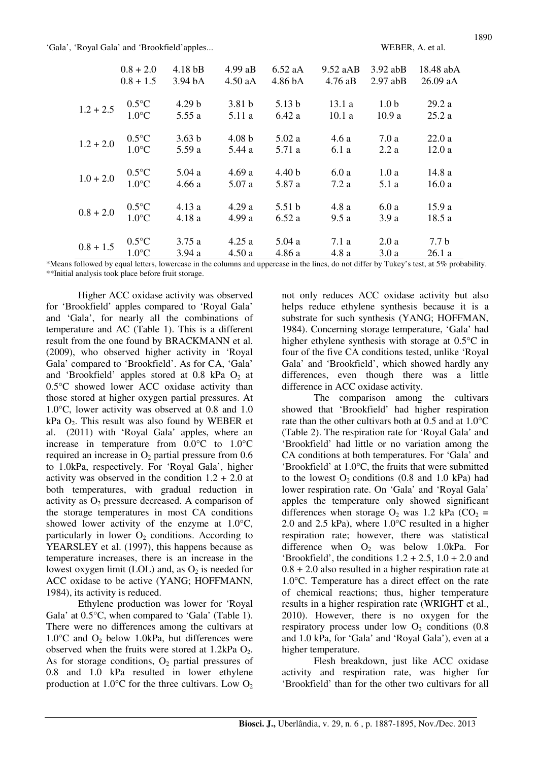|             | $0.8 + 2.0$     | 4.18 <sub>bB</sub> | $4.99$ aB         | $6.52$ aA         | 9.52 aAB  | $3.92$ abB       | 18.48 abA        |
|-------------|-----------------|--------------------|-------------------|-------------------|-----------|------------------|------------------|
|             | $0.8 + 1.5$     | 3.94 bA            | $4.50$ aA         | 4.86 bA           | $4.76$ aB | $2.97$ abB       | $26.09$ aA       |
| $1.2 + 2.5$ | $0.5^{\circ}C$  | 4.29 <sub>b</sub>  | 3.81 <sub>b</sub> | 5.13 <sub>b</sub> | 13.1a     | 1.0 <sub>b</sub> | 29.2a            |
|             | $1.0^{\circ}$ C | 5.55 a             | 5.11 a            | 6.42a             | 10.1a     | 10.9a            | 25.2a            |
| $1.2 + 2.0$ | $0.5^{\circ}C$  | 3.63 <sub>b</sub>  | 4.08 <sub>b</sub> | 5.02a             | 4.6a      | 7.0 a            | 22.0a            |
|             | $1.0^{\circ}$ C | 5.59 a             | 5.44 a            | 5.71 a            | 6.1 a     | 2.2a             | 12.0a            |
| $1.0 + 2.0$ | $0.5^{\circ}C$  | 5.04a              | 4.69a             | 4.40 <sub>b</sub> | 6.0a      | 1.0a             | 14.8 a           |
|             | $1.0^{\circ}$ C | 4.66a              | 5.07a             | 5.87 a            | 7.2a      | 5.1 a            | 16.0a            |
| $0.8 + 2.0$ | $0.5^{\circ}C$  | 4.13a              | 4.29a             | 5.51 <sub>b</sub> | 4.8a      | 6.0a             | 15.9a            |
|             | $1.0^{\circ}$ C | 4.18 a             | 4.99a             | 6.52a             | 9.5a      | 3.9a             | 18.5 a           |
| $0.8 + 1.5$ | $0.5^{\circ}C$  | 3.75a              | 4.25a             | 5.04a             | 7.1 a     | 2.0a             | 7.7 <sub>b</sub> |
|             | $1.0^{\circ}$ C | 3.94a              | 4.50a             | 4.86a             | 4.8 a     | 3.0a             | 26.1a            |

\*Means followed by equal letters, lowercase in the columns and uppercase in the lines, do not differ by Tukey's test, at 5% probability. \*\*Initial analysis took place before fruit storage.

Higher ACC oxidase activity was observed for 'Brookfield' apples compared to 'Royal Gala' and 'Gala', for nearly all the combinations of temperature and AC (Table 1). This is a different result from the one found by BRACKMANN et al. (2009), who observed higher activity in 'Royal Gala' compared to 'Brookfield'. As for CA, 'Gala' and 'Brookfield' apples stored at  $0.8$  kPa  $O<sub>2</sub>$  at 0.5°C showed lower ACC oxidase activity than those stored at higher oxygen partial pressures. At 1.0°C, lower activity was observed at 0.8 and 1.0  $kPa$  O<sub>2</sub>. This result was also found by WEBER et al. (2011) with 'Royal Gala' apples, where an increase in temperature from 0.0°C to 1.0°C required an increase in  $O_2$  partial pressure from 0.6 to 1.0kPa, respectively. For 'Royal Gala', higher activity was observed in the condition  $1.2 + 2.0$  at both temperatures, with gradual reduction in activity as  $O_2$  pressure decreased. A comparison of the storage temperatures in most CA conditions showed lower activity of the enzyme at 1.0°C, particularly in lower  $O_2$  conditions. According to YEARSLEY et al. (1997), this happens because as temperature increases, there is an increase in the lowest oxygen limit (LOL) and, as  $O_2$  is needed for ACC oxidase to be active (YANG; HOFFMANN, 1984), its activity is reduced.

Ethylene production was lower for 'Royal Gala' at 0.5°C, when compared to 'Gala' (Table 1). There were no differences among the cultivars at  $1.0^{\circ}$ C and  $O_2$  below 1.0kPa, but differences were observed when the fruits were stored at  $1.2$ kPa  $O_2$ . As for storage conditions,  $O_2$  partial pressures of 0.8 and 1.0 kPa resulted in lower ethylene production at  $1.0^{\circ}$ C for the three cultivars. Low  $O_2$  not only reduces ACC oxidase activity but also helps reduce ethylene synthesis because it is a substrate for such synthesis (YANG; HOFFMAN, 1984). Concerning storage temperature, 'Gala' had higher ethylene synthesis with storage at 0.5°C in four of the five CA conditions tested, unlike 'Royal Gala' and 'Brookfield', which showed hardly any differences, even though there was a little difference in ACC oxidase activity.

The comparison among the cultivars showed that 'Brookfield' had higher respiration rate than the other cultivars both at 0.5 and at 1.0°C (Table 2). The respiration rate for 'Royal Gala' and 'Brookfield' had little or no variation among the CA conditions at both temperatures. For 'Gala' and 'Brookfield' at 1.0°C, the fruits that were submitted to the lowest  $O_2$  conditions (0.8 and 1.0 kPa) had lower respiration rate. On 'Gala' and 'Royal Gala' apples the temperature only showed significant differences when storage  $O_2$  was 1.2 kPa (CO<sub>2</sub> = 2.0 and 2.5 kPa), where 1.0°C resulted in a higher respiration rate; however, there was statistical difference when  $O_2$  was below 1.0kPa. For 'Brookfield', the conditions  $1.2 + 2.5$ ,  $1.0 + 2.0$  and 0.8 + 2.0 also resulted in a higher respiration rate at 1.0°C. Temperature has a direct effect on the rate of chemical reactions; thus, higher temperature results in a higher respiration rate (WRIGHT et al., 2010). However, there is no oxygen for the respiratory process under low  $O<sub>2</sub>$  conditions (0.8) and 1.0 kPa, for 'Gala' and 'Royal Gala'), even at a higher temperature.

Flesh breakdown, just like ACC oxidase activity and respiration rate, was higher for 'Brookfield' than for the other two cultivars for all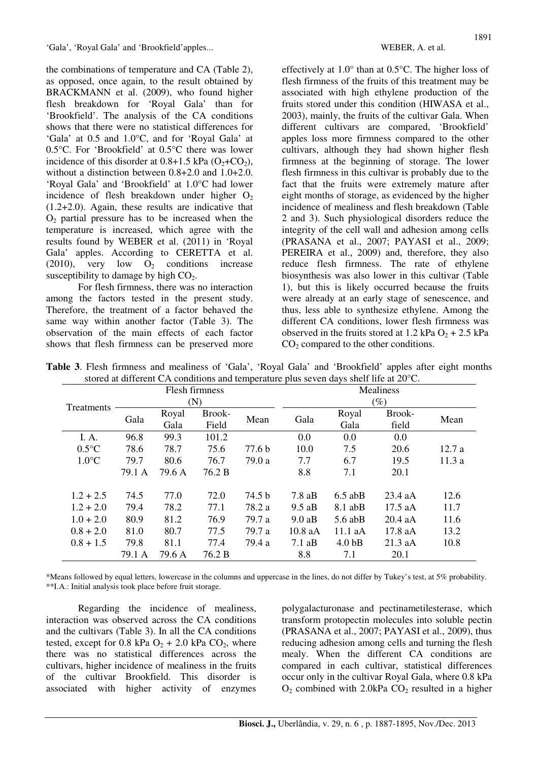the combinations of temperature and CA (Table 2), as opposed, once again, to the result obtained by BRACKMANN et al. (2009), who found higher flesh breakdown for 'Royal Gala' than for 'Brookfield'. The analysis of the CA conditions shows that there were no statistical differences for 'Gala' at 0.5 and 1.0°C, and for 'Royal Gala' at 0.5°C. For 'Brookfield' at 0.5°C there was lower incidence of this disorder at  $0.8+1.5$  kPa  $(O_2+C_2)$ , without a distinction between 0.8+2.0 and 1.0+2.0. 'Royal Gala' and 'Brookfield' at 1.0°C had lower incidence of flesh breakdown under higher  $O<sub>2</sub>$ (1.2+2.0). Again, these results are indicative that  $O<sub>2</sub>$  partial pressure has to be increased when the temperature is increased, which agree with the results found by WEBER et al. (2011) in 'Royal Gala' apples. According to CERETTA et al. (2010), very low  $O_2$  conditions increase susceptibility to damage by high  $CO<sub>2</sub>$ .

For flesh firmness, there was no interaction among the factors tested in the present study. Therefore, the treatment of a factor behaved the same way within another factor (Table 3). The observation of the main effects of each factor shows that flesh firmness can be preserved more effectively at 1.0° than at 0.5°C. The higher loss of flesh firmness of the fruits of this treatment may be associated with high ethylene production of the fruits stored under this condition (HIWASA et al., 2003), mainly, the fruits of the cultivar Gala. When different cultivars are compared, 'Brookfield' apples loss more firmness compared to the other cultivars, although they had shown higher flesh firmness at the beginning of storage. The lower flesh firmness in this cultivar is probably due to the fact that the fruits were extremely mature after eight months of storage, as evidenced by the higher incidence of mealiness and flesh breakdown (Table 2 and 3). Such physiological disorders reduce the integrity of the cell wall and adhesion among cells (PRASANA et al., 2007; PAYASI et al., 2009; PEREIRA et al., 2009) and, therefore, they also reduce flesh firmness. The rate of ethylene biosynthesis was also lower in this cultivar (Table 1), but this is likely occurred because the fruits were already at an early stage of senescence, and thus, less able to synthesize ethylene. Among the different CA conditions, lower flesh firmness was observed in the fruits stored at 1.2 kPa  $O_2$  + 2.5 kPa  $CO<sub>2</sub>$  compared to the other conditions.

|                   |        |        | Flesh firmness |                   | Mealiness        |                   |           |       |  |  |  |
|-------------------|--------|--------|----------------|-------------------|------------------|-------------------|-----------|-------|--|--|--|
| <b>Treatments</b> |        |        | (N)            |                   |                  | $(\%)$            |           |       |  |  |  |
|                   | Gala   | Royal  | Brook-         | Mean              | Gala             | Royal             | Brook-    | Mean  |  |  |  |
|                   |        | Gala   | Field          |                   |                  | Gala              | field     |       |  |  |  |
| I. A.             | 96.8   | 99.3   | 101.2          |                   | 0.0              | 0.0               | $0.0\,$   |       |  |  |  |
| $0.5^{\circ}$ C   | 78.6   | 78.7   | 75.6           | 77.6 <sub>b</sub> | 10.0             | 7.5               | 20.6      | 12.7a |  |  |  |
| $1.0^{\circ}$ C   | 79.7   | 80.6   | 76.7           | 79.0 a            | 7.7              | 6.7               | 19.5      | 11.3a |  |  |  |
|                   | 79.1 A | 79.6 A | 76.2 B         |                   | 8.8              | 7.1               | 20.1      |       |  |  |  |
| $1.2 + 2.5$       | 74.5   | 77.0   | 72.0           | 74.5 b            | $7.8$ aB         | $6.5$ abB         | $23.4$ aA | 12.6  |  |  |  |
| $1.2 + 2.0$       | 79.4   | 78.2   | 77.1           | 78.2 a            | $9.5$ aB         | $8.1$ abB         | 17.5 aA   | 11.7  |  |  |  |
| $1.0 + 2.0$       | 80.9   | 81.2   | 76.9           | 79.7 a            | 9.0aB            | $5.6$ abB         | $20.4$ aA | 11.6  |  |  |  |
| $0.8 + 2.0$       | 81.0   | 80.7   | 77.5           | 79.7 a            | $10.8$ aA        | $11.1$ aA         | 17.8 aA   | 13.2  |  |  |  |
| $0.8 + 1.5$       | 79.8   | 81.1   | 77.4           | 79.4 a            | $7.1 \text{ aB}$ | 4.0 <sub>bB</sub> | $21.3$ aA | 10.8  |  |  |  |
|                   | 79.1 A | 79.6 A | 76.2 B         |                   | 8.8              | 7.1               | 20.1      |       |  |  |  |

**Table 3**. Flesh firmness and mealiness of 'Gala', 'Royal Gala' and 'Brookfield' apples after eight months stored at different CA conditions and temperature plus seven days shelf life at 20°C.

\*Means followed by equal letters, lowercase in the columns and uppercase in the lines, do not differ by Tukey's test, at 5% probability. \*\*I.A.: Initial analysis took place before fruit storage.

Regarding the incidence of mealiness, interaction was observed across the CA conditions and the cultivars (Table 3). In all the CA conditions tested, except for 0.8 kPa  $O_2$  + 2.0 kPa  $CO_2$ , where there was no statistical differences across the cultivars, higher incidence of mealiness in the fruits of the cultivar Brookfield. This disorder is associated with higher activity of enzymes

polygalacturonase and pectinametilesterase, which transform protopectin molecules into soluble pectin (PRASANA et al., 2007; PAYASI et al., 2009), thus reducing adhesion among cells and turning the flesh mealy. When the different CA conditions are compared in each cultivar, statistical differences occur only in the cultivar Royal Gala, where 0.8 kPa  $O<sub>2</sub>$  combined with 2.0kPa  $CO<sub>2</sub>$  resulted in a higher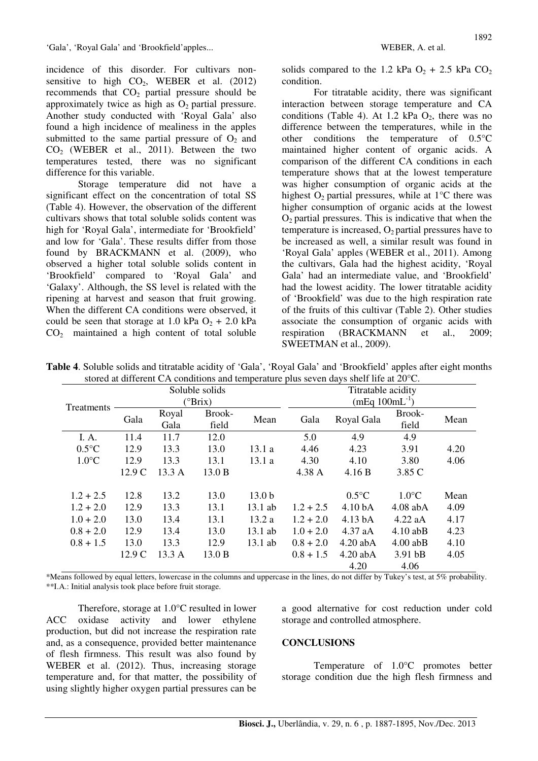incidence of this disorder. For cultivars nonsensitive to high  $CO<sub>2</sub>$ , WEBER et al. (2012) recommends that  $CO<sub>2</sub>$  partial pressure should be approximately twice as high as  $O<sub>2</sub>$  partial pressure. Another study conducted with 'Royal Gala' also found a high incidence of mealiness in the apples submitted to the same partial pressure of  $O_2$  and  $CO<sub>2</sub>$  (WEBER et al., 2011). Between the two temperatures tested, there was no significant difference for this variable.

Storage temperature did not have a significant effect on the concentration of total SS (Table 4). However, the observation of the different cultivars shows that total soluble solids content was high for 'Royal Gala', intermediate for 'Brookfield' and low for 'Gala'. These results differ from those found by BRACKMANN et al. (2009), who observed a higher total soluble solids content in 'Brookfield' compared to 'Royal Gala' and 'Galaxy'. Although, the SS level is related with the ripening at harvest and season that fruit growing. When the different CA conditions were observed, it could be seen that storage at 1.0 kPa  $O_2$  + 2.0 kPa  $CO<sub>2</sub>$  maintained a high content of total soluble

solids compared to the 1.2 kPa  $O_2$  + 2.5 kPa  $CO_2$ condition.

For titratable acidity, there was significant interaction between storage temperature and CA conditions (Table 4). At  $1.2$  kPa  $O_2$ , there was no difference between the temperatures, while in the other conditions the temperature of 0.5°C maintained higher content of organic acids. A comparison of the different CA conditions in each temperature shows that at the lowest temperature was higher consumption of organic acids at the highest  $O_2$  partial pressures, while at 1 $\degree$ C there was higher consumption of organic acids at the lowest  $O<sub>2</sub>$  partial pressures. This is indicative that when the temperature is increased,  $O_2$  partial pressures have to be increased as well, a similar result was found in 'Royal Gala' apples (WEBER et al., 2011). Among the cultivars, Gala had the highest acidity, 'Royal Gala' had an intermediate value, and 'Brookfield' had the lowest acidity. The lower titratable acidity of 'Brookfield' was due to the high respiration rate of the fruits of this cultivar (Table 2). Other studies associate the consumption of organic acids with respiration (BRACKMANN et al., 2009; SWEETMAN et al., 2009).

|                 |        |               | Soluble solids<br>$(^{\circ}Brix)$ |                   | Titratable acidity<br>(mEq $100$ mL <sup>-1</sup> ) |                    |                 |      |  |  |
|-----------------|--------|---------------|------------------------------------|-------------------|-----------------------------------------------------|--------------------|-----------------|------|--|--|
| Treatments      | Gala   | Royal<br>Gala | Brook-<br>field                    | Mean              | Gala                                                | Royal Gala         | Brook-<br>field | Mean |  |  |
| I. A.           | 11.4   | 11.7          | 12.0                               |                   | 5.0                                                 | 4.9                | 4.9             |      |  |  |
| $0.5^{\circ}C$  | 12.9   | 13.3          | 13.0                               | 13.1a             | 4.46                                                | 4.23               | 3.91            | 4.20 |  |  |
| $1.0^{\circ}$ C | 12.9   | 13.3          | 13.1                               | 13.1 a            | 4.30                                                | 4.10               | 3.80            | 4.06 |  |  |
|                 | 12.9 C | 13.3 A        | 13.0 B                             |                   | 4.38 A                                              | 4.16 B             | 3.85 C          |      |  |  |
|                 |        |               |                                    |                   |                                                     |                    |                 |      |  |  |
| $1.2 + 2.5$     | 12.8   | 13.2          | 13.0                               | 13.0 <sub>b</sub> |                                                     | $0.5^{\circ}$ C    | $1.0^{\circ}$ C | Mean |  |  |
| $1.2 + 2.0$     | 12.9   | 13.3          | 13.1                               | 13.1 ab           | $1.2 + 2.5$                                         | 4.10 <sub>bA</sub> | $4.08$ abA      | 4.09 |  |  |
| $1.0 + 2.0$     | 13.0   | 13.4          | 13.1                               | 13.2a             | $1.2 + 2.0$                                         | 4.13 bA            | $4.22$ aA       | 4.17 |  |  |
| $0.8 + 2.0$     | 12.9   | 13.4          | 13.0                               | $13.1$ ab         | $1.0 + 2.0$                                         | $4.37$ aA          | $4.10$ abB      | 4.23 |  |  |
| $0.8 + 1.5$     | 13.0   | 13.3          | 12.9                               | 13.1 ab           | $0.8 + 2.0$                                         | $4.20$ abA         | $4.00$ abB      | 4.10 |  |  |
|                 | 12.9 C | 13.3 A        | 13.0 B                             |                   | $0.8 + 1.5$                                         | $4.20$ abA         | 3.91 bB         | 4.05 |  |  |
|                 |        |               |                                    |                   |                                                     | 4.20               | 4.06            |      |  |  |

**Table 4**. Soluble solids and titratable acidity of 'Gala', 'Royal Gala' and 'Brookfield' apples after eight months stored at different CA conditions and temperature plus seven days shelf life at 20°C.

\*Means followed by equal letters, lowercase in the columns and uppercase in the lines, do not differ by Tukey's test, at 5% probability. \*\*I.A.: Initial analysis took place before fruit storage.

Therefore, storage at 1.0°C resulted in lower ACC oxidase activity and lower ethylene production, but did not increase the respiration rate and, as a consequence, provided better maintenance of flesh firmness. This result was also found by WEBER et al. (2012). Thus, increasing storage temperature and, for that matter, the possibility of using slightly higher oxygen partial pressures can be a good alternative for cost reduction under cold storage and controlled atmosphere.

#### **CONCLUSIONS**

Temperature of 1.0°C promotes better storage condition due the high flesh firmness and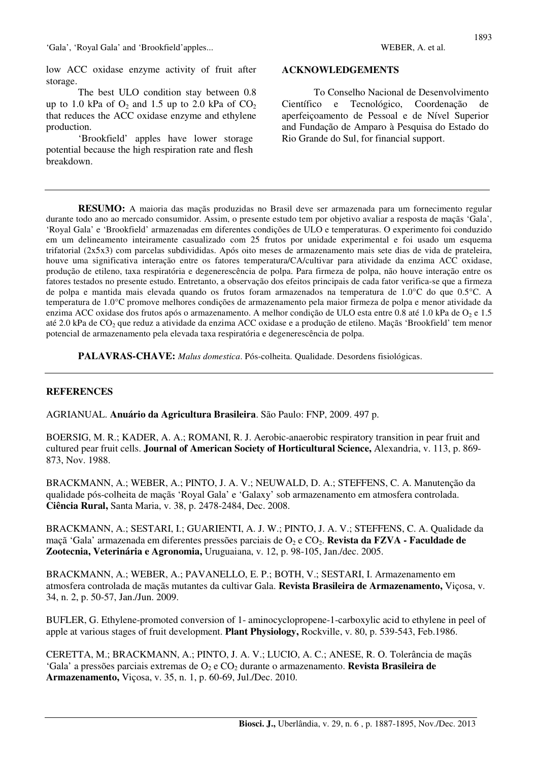The best ULO condition stay between 0.8 up to 1.0 kPa of  $O_2$  and 1.5 up to 2.0 kPa of  $CO_2$ that reduces the ACC oxidase enzyme and ethylene production.

'Brookfield' apples have lower storage potential because the high respiration rate and flesh breakdown.

#### **ACKNOWLEDGEMENTS**

To Conselho Nacional de Desenvolvimento Científico e Tecnológico, Coordenação de aperfeiçoamento de Pessoal e de Nível Superior and Fundação de Amparo à Pesquisa do Estado do Rio Grande do Sul, for financial support.

**RESUMO:** A maioria das maçãs produzidas no Brasil deve ser armazenada para um fornecimento regular durante todo ano ao mercado consumidor. Assim, o presente estudo tem por objetivo avaliar a resposta de maçãs 'Gala', 'Royal Gala' e 'Brookfield' armazenadas em diferentes condições de ULO e temperaturas. O experimento foi conduzido em um delineamento inteiramente casualizado com 25 frutos por unidade experimental e foi usado um esquema trifatorial (2x5x3) com parcelas subdivididas. Após oito meses de armazenamento mais sete dias de vida de prateleira, houve uma significativa interação entre os fatores temperatura/CA/cultivar para atividade da enzima ACC oxidase, produção de etileno, taxa respiratória e degenerescência de polpa. Para firmeza de polpa, não houve interação entre os fatores testados no presente estudo. Entretanto, a observação dos efeitos principais de cada fator verifica-se que a firmeza de polpa e mantida mais elevada quando os frutos foram armazenados na temperatura de 1.0°C do que 0.5°C. A temperatura de 1.0°C promove melhores condições de armazenamento pela maior firmeza de polpa e menor atividade da enzima ACC oxidase dos frutos após o armazenamento. A melhor condição de ULO esta entre 0.8 até 1.0 kPa de O<sub>2</sub> e 1.5 até 2.0 kPa de CO2 que reduz a atividade da enzima ACC oxidase e a produção de etileno. Maçãs 'Brookfield' tem menor potencial de armazenamento pela elevada taxa respiratória e degenerescência de polpa.

**PALAVRAS-CHAVE:** *Malus domestica*. Pós-colheita. Qualidade. Desordens fisiológicas.

#### **REFERENCES**

AGRIANUAL. **Anuário da Agricultura Brasileira**. São Paulo: FNP, 2009. 497 p.

BOERSIG, M. R.; KADER, A. A.; ROMANI, R. J. Aerobic-anaerobic respiratory transition in pear fruit and cultured pear fruit cells. **Journal of American Society of Horticultural Science,** Alexandria, v. 113, p. 869- 873, Nov. 1988.

BRACKMANN, A.; WEBER, A.; PINTO, J. A. V.; NEUWALD, D. A.; STEFFENS, C. A. Manutenção da qualidade pós-colheita de maçãs 'Royal Gala' e 'Galaxy' sob armazenamento em atmosfera controlada. **Ciência Rural,** Santa Maria, v. 38, p. 2478-2484, Dec. 2008.

BRACKMANN, A.; SESTARI, I.; GUARIENTI, A. J. W.; PINTO, J. A. V.; STEFFENS, C. A. Qualidade da maçã 'Gala' armazenada em diferentes pressões parciais de O<sub>2</sub> e CO<sub>2</sub>. **Revista da FZVA - Faculdade de Zootecnia, Veterinária e Agronomia,** Uruguaiana, v. 12, p. 98-105, Jan./dec. 2005.

BRACKMANN, A.; WEBER, A.; PAVANELLO, E. P.; BOTH, V.; SESTARI, I. Armazenamento em atmosfera controlada de maçãs mutantes da cultivar Gala. **Revista Brasileira de Armazenamento,** Viçosa, v. 34, n. 2, p. 50-57, Jan./Jun. 2009.

BUFLER, G. Ethylene-promoted conversion of 1- aminocyclopropene-1-carboxylic acid to ethylene in peel of apple at various stages of fruit development. **Plant Physiology,** Rockville, v. 80, p. 539-543, Feb.1986.

CERETTA, M.; BRACKMANN, A.; PINTO, J. A. V.; LUCIO, A. C.; ANESE, R. O. Tolerância de maçãs 'Gala' a pressões parciais extremas de O<sub>2</sub> e CO<sub>2</sub> durante o armazenamento. **Revista Brasileira de Armazenamento,** Viçosa, v. 35, n. 1, p. 60-69, Jul./Dec. 2010.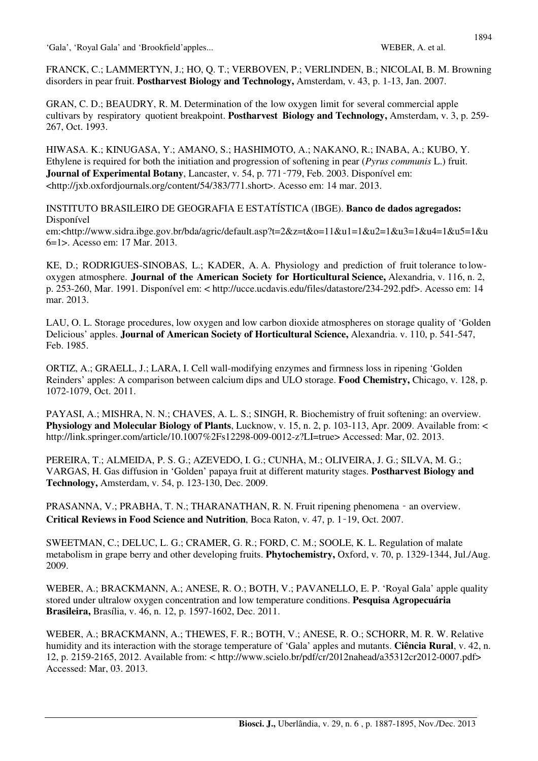FRANCK, C.; LAMMERTYN, J.; HO, Q. T.; VERBOVEN, P.; VERLINDEN, B.; NICOLAI, B. M. Browning disorders in pear fruit. **Postharvest Biology and Technology,** Amsterdam, v. 43, p. 1-13, Jan. 2007.

GRAN, C. D.; BEAUDRY, R. M. Determination of the low oxygen limit for several commercial apple cultivars by respiratory quotient breakpoint. **Postharvest Biology and Technology,** Amsterdam, v. 3, p. 259- 267, Oct. 1993.

HIWASA. K.; KINUGASA, Y.; AMANO, S.; HASHIMOTO, A.; NAKANO, R.; INABA, A.; KUBO, Y. Ethylene is required for both the initiation and progression of softening in pear (*Pyrus communis* L.) fruit. **Journal of Experimental Botany**, Lancaster, v. 54, p. 771‑779, Feb. 2003. Disponível em: <http://jxb.oxfordjournals.org/content/54/383/771.short>. Acesso em: 14 mar. 2013.

INSTITUTO BRASILEIRO DE GEOGRAFIA E ESTATÍSTICA (IBGE). **Banco de dados agregados:**  Disponível em:<http://www.sidra.ibge.gov.br/bda/agric/default.asp?t=2&z=t&o=11&u1=1&u2=1&u3=1&u4=1&u5=1&u 6=1>. Acesso em: 17 Mar. 2013.

KE, D.; RODRIGUES-SINOBAS, L.; KADER, A. A. Physiology and prediction of fruit tolerance to lowoxygen atmosphere. **Journal of the American Society for Horticultural Science,** Alexandria, v. 116, n. 2, p. 253-260, Mar. 1991. Disponível em: < http://ucce.ucdavis.edu/files/datastore/234-292.pdf>. Acesso em: 14 mar. 2013.

LAU, O. L. Storage procedures, low oxygen and low carbon dioxide atmospheres on storage quality of 'Golden Delicious' apples. **Journal of American Society of Horticultural Science,** Alexandria. v. 110, p. 541-547, Feb. 1985.

ORTIZ, A.; GRAELL, J.; LARA, I. Cell wall-modifying enzymes and firmness loss in ripening 'Golden Reinders' apples: A comparison between calcium dips and ULO storage. **Food Chemistry,** Chicago, v. 128, p. 1072-1079, Oct. 2011.

PAYASI, A.; MISHRA, N. N.; CHAVES, A. L. S.; SINGH, R. Biochemistry of fruit softening: an overview. **Physiology and Molecular Biology of Plants**, Lucknow, v. 15, n. 2, p. 103-113, Apr. 2009. Available from: < http://link.springer.com/article/10.1007%2Fs12298-009-0012-z?LI=true> Accessed: Mar, 02. 2013.

PEREIRA, T.; ALMEIDA, P. S. G.; AZEVEDO, I. G.; CUNHA, M.; OLIVEIRA, J. G.; SILVA, M. G.; VARGAS, H. Gas diffusion in 'Golden' papaya fruit at different maturity stages. **Postharvest Biology and Technology,** Amsterdam, v. 54, p. 123-130, Dec. 2009.

PRASANNA, V.; PRABHA, T. N.; THARANATHAN, R. N. Fruit ripening phenomena - an overview. **Critical Reviews in Food Science and Nutrition**, Boca Raton, v. 47, p. 1‑19, Oct. 2007.

SWEETMAN, C.; DELUC, L. G.; CRAMER, G. R.; FORD, C. M.; SOOLE, K. L. Regulation of malate metabolism in grape berry and other developing fruits. **Phytochemistry,** Oxford, v. 70, p. 1329-1344, Jul./Aug. 2009.

WEBER, A.; BRACKMANN, A.; ANESE, R. O.; BOTH, V.; PAVANELLO, E. P. 'Royal Gala' apple quality stored under ultralow oxygen concentration and low temperature conditions. **Pesquisa Agropecuária Brasileira,** Brasília, v. 46, n. 12, p. 1597-1602, Dec. 2011.

WEBER, A.; BRACKMANN, A.; THEWES, F. R.; BOTH, V.; ANESE, R. O.; SCHORR, M. R. W. Relative humidity and its interaction with the storage temperature of 'Gala' apples and mutants. **Ciência Rural**, v. 42, n. 12, p. 2159-2165, 2012. Available from: < http://www.scielo.br/pdf/cr/2012nahead/a35312cr2012-0007.pdf> Accessed: Mar, 03. 2013.